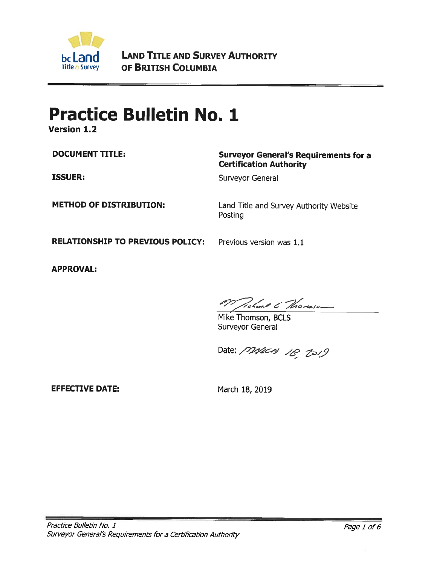

**LAND TITLE AND SURVEY AUTHORITY** OF BRITISH COLUMBIA

# **Practice Bulletin No. 1**

**Version 1.2** 

**DOCUMENT TITLE:** 

**ISSUER:** 

### **Surveyor General's Requirements for a Certification Authority**

Surveyor General

**METHOD OF DISTRIBUTION:** 

Land Title and Survey Authority Website Posting

**RELATIONSHIP TO PREVIOUS POLICY:** 

Previous version was 1.1

**APPROVAL:** 

Probact & Thomas -

Mike Thomson, BCLS Surveyor General

Date: 1242CH 18, 2019

**EFFECTIVE DATE:** 

March 18, 2019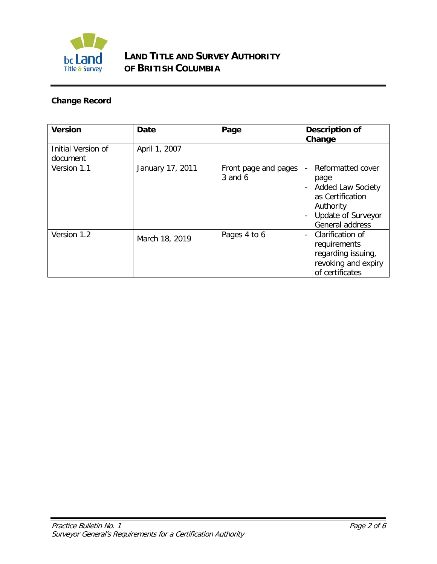

# **LAND TITLE AND SURVEY AUTHORITY OF BRITISH COLUMBIA**

# **Change Record**

| <b>Version</b>                 | Date             | Page                            | <b>Description of</b><br>Change                                                                                                                                              |
|--------------------------------|------------------|---------------------------------|------------------------------------------------------------------------------------------------------------------------------------------------------------------------------|
| Initial Version of<br>document | April 1, 2007    |                                 |                                                                                                                                                                              |
| Version 1.1                    | January 17, 2011 | Front page and pages<br>3 and 6 | Reformatted cover<br>$\frac{1}{2}$<br>page<br><b>Added Law Society</b><br>$\overline{\phantom{a}}$<br>as Certification<br>Authority<br>Update of Surveyor<br>General address |
| Version 1.2                    | March 18, 2019   | Pages 4 to 6                    | Clarification of<br>$\blacksquare$<br>requirements<br>regarding issuing,<br>revoking and expiry<br>of certificates                                                           |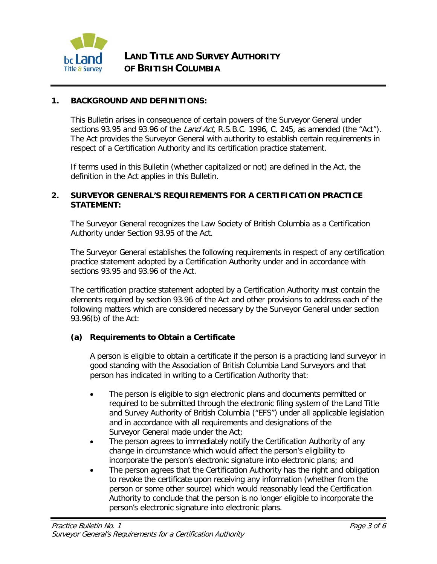

#### **1. BACKGROUND AND DEFINITIONS:**

This Bulletin arises in consequence of certain powers of the Surveyor General under sections 93.95 and 93.96 of the *Land Act*, R.S.B.C. 1996, C. 245, as amended (the "Act"). The Act provides the Surveyor General with authority to establish certain requirements in respect of a Certification Authority and its certification practice statement.

If terms used in this Bulletin (whether capitalized or not) are defined in the Act, the definition in the Act applies in this Bulletin.

#### **2. SURVEYOR GENERAL'S REQUIREMENTS FOR A CERTIFICATION PRACTICE STATEMENT:**

The Surveyor General recognizes the Law Society of British Columbia as a Certification Authority under Section 93.95 of the Act.

The Surveyor General establishes the following requirements in respect of any certification practice statement adopted by a Certification Authority under and in accordance with sections 93.95 and 93.96 of the Act.

The certification practice statement adopted by a Certification Authority must contain the elements required by section 93.96 of the Act and other provisions to address each of the following matters which are considered necessary by the Surveyor General under section 93.96(b) of the Act:

#### **(a) Requirements to Obtain a Certificate**

A person is eligible to obtain a certificate if the person is a practicing land surveyor in good standing with the Association of British Columbia Land Surveyors and that person has indicated in writing to a Certification Authority that:

- The person is eligible to sign electronic plans and documents permitted or required to be submitted through the electronic filing system of the Land Title and Survey Authority of British Columbia ("EFS") under all applicable legislation and in accordance with all requirements and designations of the Surveyor General made under the Act;
- The person agrees to immediately notify the Certification Authority of any change in circumstance which would affect the person's eligibility to incorporate the person's electronic signature into electronic plans; and
- The person agrees that the Certification Authority has the right and obligation to revoke the certificate upon receiving any information (whether from the person or some other source) which would reasonably lead the Certification Authority to conclude that the person is no longer eligible to incorporate the person's electronic signature into electronic plans.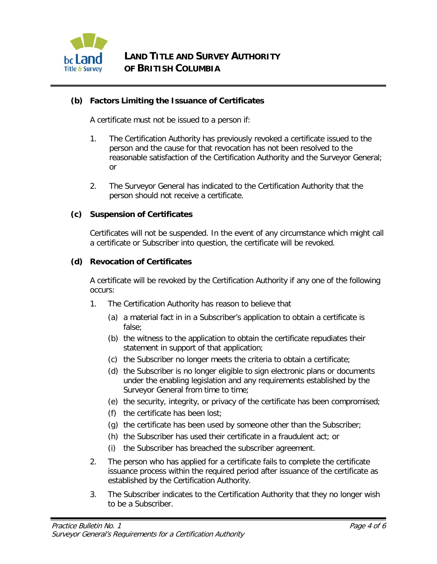

#### **(b) Factors Limiting the Issuance of Certificates**

A certificate must not be issued to a person if:

- 1. The Certification Authority has previously revoked a certificate issued to the person and the cause for that revocation has not been resolved to the reasonable satisfaction of the Certification Authority and the Surveyor General; or
- 2. The Surveyor General has indicated to the Certification Authority that the person should not receive a certificate.

#### **(c) Suspension of Certificates**

Certificates will not be suspended. In the event of any circumstance which might call a certificate or Subscriber into question, the certificate will be revoked.

#### **(d) Revocation of Certificates**

A certificate will be revoked by the Certification Authority if any one of the following occurs:

- 1. The Certification Authority has reason to believe that
	- (a) a material fact in in a Subscriber's application to obtain a certificate is false;
	- (b) the witness to the application to obtain the certificate repudiates their statement in support of that application;
	- (c) the Subscriber no longer meets the criteria to obtain a certificate;
	- (d) the Subscriber is no longer eligible to sign electronic plans or documents under the enabling legislation and any requirements established by the Surveyor General from time to time;
	- (e) the security, integrity, or privacy of the certificate has been compromised;
	- (f) the certificate has been lost;
	- (g) the certificate has been used by someone other than the Subscriber;
	- (h) the Subscriber has used their certificate in a fraudulent act; or
	- (i) the Subscriber has breached the subscriber agreement.
- 2. The person who has applied for a certificate fails to complete the certificate issuance process within the required period after issuance of the certificate as established by the Certification Authority.
- 3. The Subscriber indicates to the Certification Authority that they no longer wish to be a Subscriber.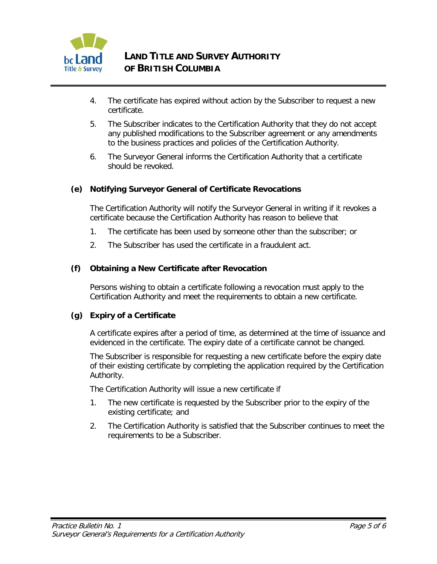

- 4. The certificate has expired without action by the Subscriber to request a new certificate.
- 5. The Subscriber indicates to the Certification Authority that they do not accept any published modifications to the Subscriber agreement or any amendments to the business practices and policies of the Certification Authority.
- 6. The Surveyor General informs the Certification Authority that a certificate should be revoked.

#### **(e) Notifying Surveyor General of Certificate Revocations**

The Certification Authority will notify the Surveyor General in writing if it revokes a certificate because the Certification Authority has reason to believe that

- 1. The certificate has been used by someone other than the subscriber; or
- 2. The Subscriber has used the certificate in a fraudulent act.

#### **(f) Obtaining a New Certificate after Revocation**

Persons wishing to obtain a certificate following a revocation must apply to the Certification Authority and meet the requirements to obtain a new certificate.

#### **(g) Expiry of a Certificate**

A certificate expires after a period of time, as determined at the time of issuance and evidenced in the certificate. The expiry date of a certificate cannot be changed.

The Subscriber is responsible for requesting a new certificate before the expiry date of their existing certificate by completing the application required by the Certification Authority.

The Certification Authority will issue a new certificate if

- 1. The new certificate is requested by the Subscriber prior to the expiry of the existing certificate; and
- 2. The Certification Authority is satisfied that the Subscriber continues to meet the requirements to be a Subscriber.